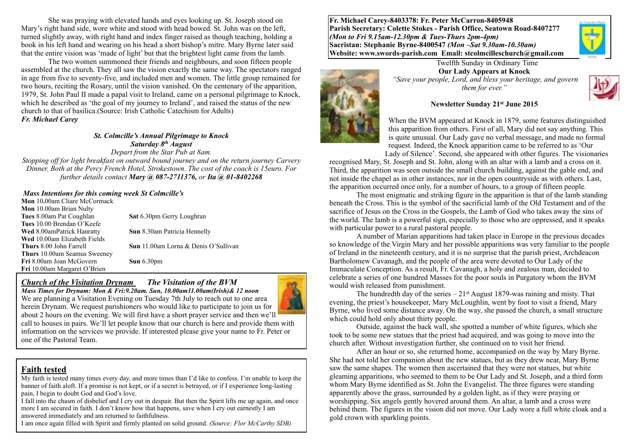She was praying with elevated hands and eyes looking up. St. Joseph stood on Mary's right hand side, wore white and stood with head bowed. St. John was on the left, turned slightly away, with right hand and index finger raised as though teaching, holding a book in his left hand and wearing on his head a short bishop's mitre. Mary Byrne later said that the entire vision was 'made of light' but that the brightest light came from the lamb.

The two women summoned their friends and neighbours, and soon fifteen people assembled at the church. They all saw the vision exactly the same way. The spectators ranged in age from five to seventy-five, and included men and women. The little group remained for two hours, reciting the Rosary, until the vision vanished. On the centenary of the apparition, 1979, St. John Paul II made a papal visit to Ireland, came on a personal pilgrimage to Knock, which he described as 'the goal of my journey to Ireland', and raised the status of the new church to that of basilica.(Source: Irish Catholic Catechism for Adults) *Fr. Michael Carey* 

> *St. Colmcille's Annual Pilgrimage to Knock Saturday 8th August Depart from the Star Pub at 8am.*

*Stopping off for light breakfast on outward bound journey and on the return journey Carvery Dinner. Both at the Percy French Hotel, Strokestown. The cost of the coach is 15euro. For further details contact Mary @ 087-2711376, or Ita @ 01-8402268* 

#### *Mass Intentions for this coming week St Colmcille's*

**Mon** 10**.**00am Cliare McCormack **Mon** 10.00am Brian Nulty **Tues** 8.00am Pat Coughlan **Sat** 6.30pm Gerry Loughran **Tues** 10.00 Brendan O'Keefe **Wed** 8.00amPatrick Hanratty **Sun** 8.30am Patricia Hennelly **Wed** 10.00am Elizabeth Fields **Thurs** 8.00 John Farrell **Sun** 11.00am Lorna & Denis O'Sullivan **Thurs** 10.00am Seamus Sweeney **Fri** 8.00am Joan McGovern **Sun** 6.30pm **Fri** 10.00am Margaret O'Brien

### *Church of the Visitation Drynam**The Visitation of the BVM*

*Mass Times for Drynam: Mon & Fri:9.20am. Sun, 10.00am11.00am(Irish)& 12 noon*



We are planning a Visitation Evening on Tuesday 7th July to reach out to one area herein Drynam. We request parishioners who would like to participate to join us for about 2 hours on the evening. We will first have a short prayer service and then we'll call to houses in pairs. We'll let people know that our church is here and provide them with information on the services we provide. If interested please give your name to Fr. Peter or one of the Pastoral Team.

#### **Faith tested**

My faith is tested many times every day, and more times than I'd like to confess. I'm unable to keep the banner of faith aloft. If a promise is not kept, or if a secret is betrayed, or if I experience long-lasting pain, I begin to doubt God and God's love.

I fall into the chasm of disbelief and I cry out in despair. But then the Spirit lifts me up again, and once more I am secured in faith. I don't know how that happens, save when I cry out earnestly I am answered immediately and am returned to faithfulness.

I am once again filled with Spirit and firmly planted on solid ground. *(Source: Flor McCarthy SDB)*

**Fr. Michael Carey-8403378: Fr. Peter McCarron-8405948 Parish Secretary: Colette Stokes - Parish Office, Seatown Road-8407277**  *(Mon to Fri 9.15am-12.30pm & Tues-Thurs 2pm-4pm)*  **Sacristan: Stephanie Byrne-8400547** *(Mon –Sat 9.30am-10.30am)* **Website: [www.swords-parish.com Email](http://www.swords-parish.com%20%20email): stcolmcilleschurch@gmail.com**



**Our Lady Appears at Knock**   *"Save your people, Lord, and bless your heritage, and govern them for ever."* 

Twelfth Sunday in Ordinary Time



#### **Newsletter Sunday 21st June 2015**

When the BVM appeared at Knock in 1879, some features distinguished this apparition from others. First of all, Mary did not say anything. This is quite unusual. Our Lady gave no verbal message, and made no formal request. Indeed, the Knock apparition came to be referred to as 'Our Lady of Silence'. Second, she appeared with other figures. The visionaries

recognised Mary, St. Joseph and St. John, along with an altar with a lamb and a cross on it. Third, the apparition was seen outside the small church building, against the gable end, and not inside the chapel as in other instances, nor in the open countryside as with others. Last, the apparition occurred once only, for a number of hours, to a group of fifteen people.

The most enigmatic and striking figure in the apparition is that of the lamb standing beneath the Cross. This is the symbol of the sacrificial lamb of the Old Testament and of the sacrifice of Jesus on the Cross in the Gospels, the Lamb of God who takes away the sins of the world. The lamb is a powerful sign, especially to those who are oppressed, and it speaks with particular power to a rural pastoral people.

A number of Marian apparitions had taken place in Europe in the previous decades so knowledge of the Virgin Mary and her possible apparitions was very familiar to the people of Ireland in the nineteenth century, and it is no surprise that the parish priest, Archdeacon Bartholomew Cavanagh, and the people of the area were devoted to Our Lady of the Immaculate Conception. As a result, Fr. Cavanagh, a holy and zealous man, decided to celebrate a series of one hundred Masses for the poor souls in Purgatory whom the BVM would wish released from punishment.

The hundredth day of the series  $-21$ <sup>st</sup> August 1879-was raining and misty. That evening, the priest's housekeeper, Mary McLoughlin, went by foot to visit a friend, Mary Byrne, who lived some distance away. On the way, she passed the church, a small structure which could hold only about thirty people.

Outside, against the back wall, she spotted a number of white figures, which she took to be some new statues that the priest had acquired, and was going to move into the church after. Without investigation further, she continued on to visit her friend.

After an hour or so, she returned home, accompanied on the way by Mary Byrne. She had not told her companion about the new statues, but as they drew near, Mary Byrne saw the same shapes. The women then ascertained that they were not statues, but white gleaming apparitions, who seemed to them to be Our Lady and St. Joseph, and a third form whom Mary Byrne identified as St. John the Evangelist. The three figures were standing apparently above the grass, surrounded by a golden light, as if they were praying or worshipping. Six angels gently hovered around them. An altar, a lamb and a cross were behind them. The figures in the vision did not move. Our Lady wore a full white cloak and a gold crown with sparkling points.